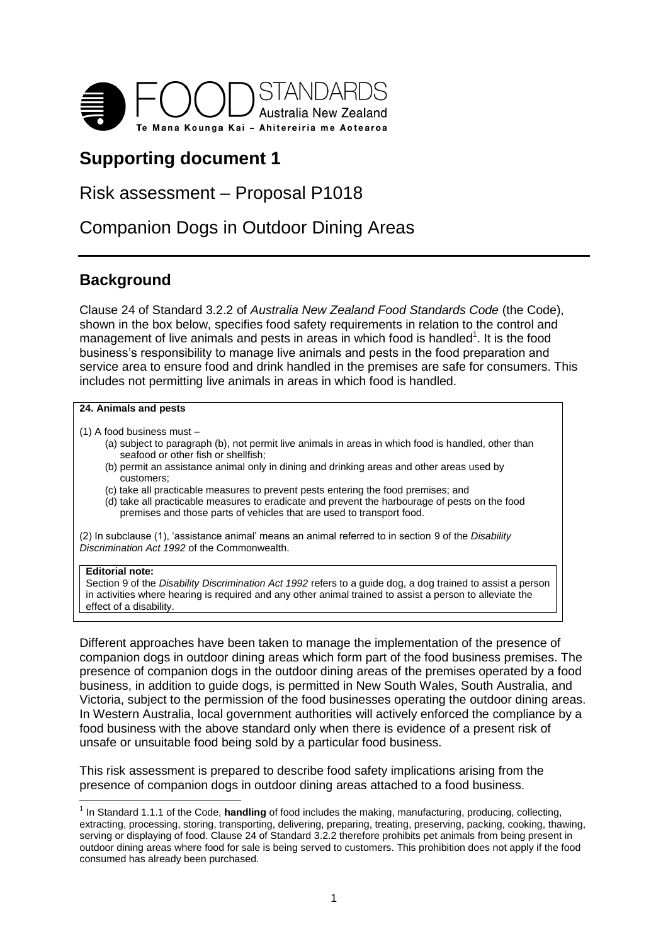

# **Supporting document 1**

# Risk assessment – Proposal P1018

# Companion Dogs in Outdoor Dining Areas

# **Background**

Clause 24 of Standard 3.2.2 of *Australia New Zealand Food Standards Code* (the Code), shown in the box below, specifies food safety requirements in relation to the control and management of live animals and pests in areas in which food is handled<sup>1</sup>. It is the food business's responsibility to manage live animals and pests in the food preparation and service area to ensure food and drink handled in the premises are safe for consumers. This includes not permitting live animals in areas in which food is handled.

#### **24. Animals and pests**

- (1) A food business must
	- (a) subject to paragraph (b), not permit live animals in areas in which food is handled, other than seafood or other fish or shellfish;
	- (b) permit an assistance animal only in dining and drinking areas and other areas used by customers;
	- (c) take all practicable measures to prevent pests entering the food premises; and
	- (d) take all practicable measures to eradicate and prevent the harbourage of pests on the food premises and those parts of vehicles that are used to transport food.

(2) In subclause (1), 'assistance animal' means an animal referred to in section 9 of the *Disability Discrimination Act 1992* of the Commonwealth.

#### **Editorial note:**

Section 9 of the *Disability Discrimination Act 1992* refers to a guide dog, a dog trained to assist a person in activities where hearing is required and any other animal trained to assist a person to alleviate the effect of a disability.

Different approaches have been taken to manage the implementation of the presence of companion dogs in outdoor dining areas which form part of the food business premises. The presence of companion dogs in the outdoor dining areas of the premises operated by a food business, in addition to guide dogs, is permitted in New South Wales, South Australia, and Victoria, subject to the permission of the food businesses operating the outdoor dining areas. In Western Australia, local government authorities will actively enforced the compliance by a food business with the above standard only when there is evidence of a present risk of unsafe or unsuitable food being sold by a particular food business.

This risk assessment is prepared to describe food safety implications arising from the presence of companion dogs in outdoor dining areas attached to a food business.

 1 In Standard 1.1.1 of the Code, **handling** of food includes the making, manufacturing, producing, collecting, extracting, processing, storing, transporting, delivering, preparing, treating, preserving, packing, cooking, thawing, serving or displaying of food. Clause 24 of Standard 3.2.2 therefore prohibits pet animals from being present in outdoor dining areas where food for sale is being served to customers. This prohibition does not apply if the food consumed has already been purchased.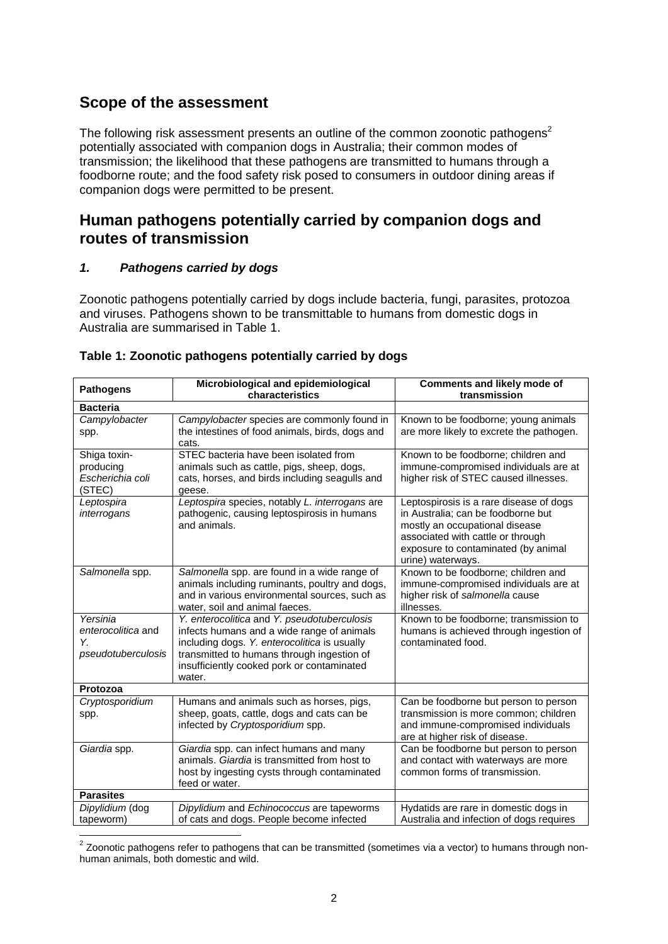# **Scope of the assessment**

The following risk assessment presents an outline of the common zoonotic pathogens<sup>2</sup> potentially associated with companion dogs in Australia; their common modes of transmission; the likelihood that these pathogens are transmitted to humans through a foodborne route; and the food safety risk posed to consumers in outdoor dining areas if companion dogs were permitted to be present.

## **Human pathogens potentially carried by companion dogs and routes of transmission**

### *1. Pathogens carried by dogs*

Zoonotic pathogens potentially carried by dogs include bacteria, fungi, parasites, protozoa and viruses. Pathogens shown to be transmittable to humans from domestic dogs in Australia are summarised in Table 1.

| <b>Pathogens</b>                                   | Microbiological and epidemiological                                                   | <b>Comments and likely mode of</b>                                                |  |
|----------------------------------------------------|---------------------------------------------------------------------------------------|-----------------------------------------------------------------------------------|--|
| characteristics<br>transmission<br><b>Bacteria</b> |                                                                                       |                                                                                   |  |
| Campylobacter                                      | Campylobacter species are commonly found in                                           | Known to be foodborne; young animals                                              |  |
| spp.                                               | the intestines of food animals, birds, dogs and                                       | are more likely to excrete the pathogen.                                          |  |
|                                                    | cats.                                                                                 |                                                                                   |  |
| Shiga toxin-                                       | STEC bacteria have been isolated from                                                 | Known to be foodborne; children and                                               |  |
| producing                                          | animals such as cattle, pigs, sheep, dogs,                                            | immune-compromised individuals are at                                             |  |
| Escherichia coli                                   | cats, horses, and birds including seagulls and                                        | higher risk of STEC caused illnesses.                                             |  |
| (STEC)                                             | geese.                                                                                |                                                                                   |  |
| Leptospira                                         | Leptospira species, notably L. interrogans are                                        | Leptospirosis is a rare disease of dogs                                           |  |
| interrogans                                        | pathogenic, causing leptospirosis in humans                                           | in Australia; can be foodborne but                                                |  |
|                                                    | and animals.                                                                          | mostly an occupational disease                                                    |  |
|                                                    |                                                                                       | associated with cattle or through<br>exposure to contaminated (by animal          |  |
|                                                    |                                                                                       | urine) waterways.                                                                 |  |
| Salmonella spp.                                    | Salmonella spp. are found in a wide range of                                          | Known to be foodborne; children and                                               |  |
|                                                    | animals including ruminants, poultry and dogs,                                        | immune-compromised individuals are at                                             |  |
|                                                    | and in various environmental sources, such as                                         | higher risk of salmonella cause                                                   |  |
|                                                    | water, soil and animal faeces.                                                        | illnesses.                                                                        |  |
| Yersinia                                           | Y. enterocolitica and Y. pseudotuberculosis                                           | Known to be foodborne; transmission to                                            |  |
| enterocolitica and                                 | infects humans and a wide range of animals                                            | humans is achieved through ingestion of                                           |  |
| Υ.                                                 | including dogs. Y. enterocolitica is usually                                          | contaminated food.                                                                |  |
| pseudotuberculosis                                 | transmitted to humans through ingestion of                                            |                                                                                   |  |
|                                                    | insufficiently cooked pork or contaminated<br>water.                                  |                                                                                   |  |
| Protozoa                                           |                                                                                       |                                                                                   |  |
| Cryptosporidium                                    | Humans and animals such as horses, pigs,                                              | Can be foodborne but person to person                                             |  |
| spp.                                               | sheep, goats, cattle, dogs and cats can be                                            | transmission is more common; children                                             |  |
|                                                    | infected by Cryptosporidium spp.                                                      | and immune-compromised individuals                                                |  |
|                                                    |                                                                                       | are at higher risk of disease.                                                    |  |
| Giardia spp.                                       | Giardia spp. can infect humans and many                                               | Can be foodborne but person to person                                             |  |
|                                                    | animals. Giardia is transmitted from host to                                          | and contact with waterways are more                                               |  |
|                                                    | host by ingesting cysts through contaminated                                          | common forms of transmission.                                                     |  |
| <b>Parasites</b>                                   | feed or water.                                                                        |                                                                                   |  |
|                                                    |                                                                                       |                                                                                   |  |
| Dipylidium (dog<br>tapeworm)                       | Dipylidium and Echinococcus are tapeworms<br>of cats and dogs. People become infected | Hydatids are rare in domestic dogs in<br>Australia and infection of dogs requires |  |
|                                                    |                                                                                       |                                                                                   |  |

#### **Table 1: Zoonotic pathogens potentially carried by dogs**

 2 Zoonotic pathogens refer to pathogens that can be transmitted (sometimes via a vector) to humans through nonhuman animals, both domestic and wild.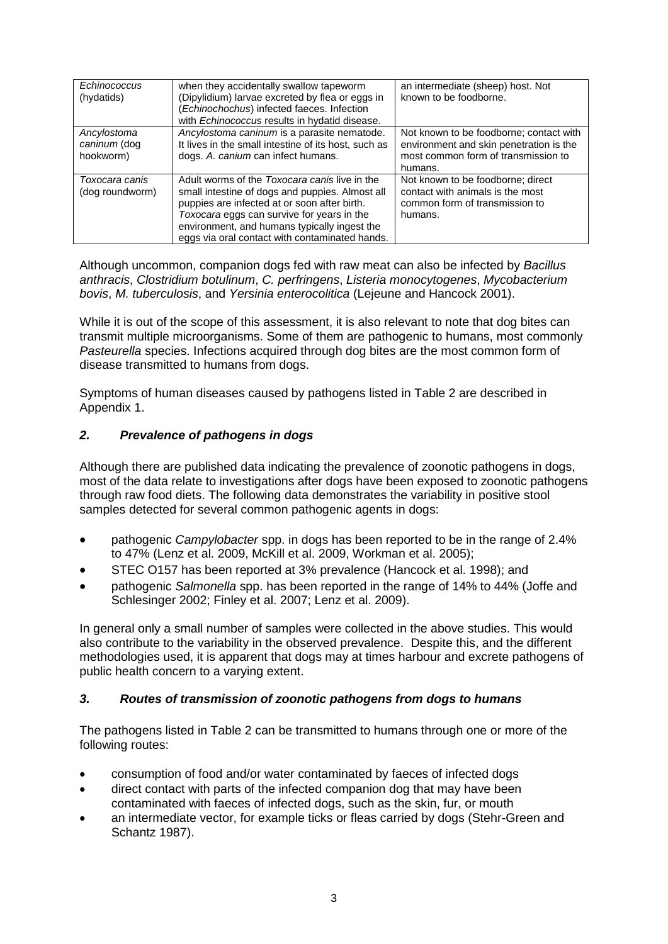| Echinococcus<br>(hydatids)               | when they accidentally swallow tapeworm<br>(Dipylidium) larvae excreted by flea or eggs in<br>(Echinochochus) infected faeces. Infection<br>with Echinococcus results in hydatid disease.                                                                                                        | an intermediate (sheep) host. Not<br>known to be foodborne.                                                                          |
|------------------------------------------|--------------------------------------------------------------------------------------------------------------------------------------------------------------------------------------------------------------------------------------------------------------------------------------------------|--------------------------------------------------------------------------------------------------------------------------------------|
| Ancylostoma<br>caninum (dog<br>hookworm) | Ancylostoma caninum is a parasite nematode.<br>It lives in the small intestine of its host, such as<br>dogs. A. canium can infect humans.                                                                                                                                                        | Not known to be foodborne; contact with<br>environment and skin penetration is the<br>most common form of transmission to<br>humans. |
| Toxocara canis<br>(dog roundworm)        | Adult worms of the Toxocara canis live in the<br>small intestine of dogs and puppies. Almost all<br>puppies are infected at or soon after birth.<br>Toxocara eggs can survive for years in the<br>environment, and humans typically ingest the<br>eggs via oral contact with contaminated hands. | Not known to be foodborne; direct<br>contact with animals is the most<br>common form of transmission to<br>humans.                   |

Although uncommon, companion dogs fed with raw meat can also be infected by *Bacillus anthracis*, *Clostridium botulinum*, *C. perfringens*, *Listeria monocytogenes*, *Mycobacterium bovis*, *M. tuberculosis*, and *Yersinia enterocolitica* (Lejeune and Hancock 2001).

While it is out of the scope of this assessment, it is also relevant to note that dog bites can transmit multiple microorganisms. Some of them are pathogenic to humans, most commonly *Pasteurella* species. Infections acquired through dog bites are the most common form of disease transmitted to humans from dogs.

Symptoms of human diseases caused by pathogens listed in Table 2 are described in Appendix 1.

### *2. Prevalence of pathogens in dogs*

Although there are published data indicating the prevalence of zoonotic pathogens in dogs, most of the data relate to investigations after dogs have been exposed to zoonotic pathogens through raw food diets. The following data demonstrates the variability in positive stool samples detected for several common pathogenic agents in dogs:

- pathogenic *Campylobacter* spp. in dogs has been reported to be in the range of 2.4% to 47% (Lenz et al. 2009, McKill et al. 2009, Workman et al. 2005);
- STEC O157 has been reported at 3% prevalence (Hancock et al. 1998); and
- pathogenic *Salmonella* spp. has been reported in the range of 14% to 44% (Joffe and Schlesinger 2002; Finley et al. 2007; Lenz et al. 2009).

In general only a small number of samples were collected in the above studies. This would also contribute to the variability in the observed prevalence. Despite this, and the different methodologies used, it is apparent that dogs may at times harbour and excrete pathogens of public health concern to a varying extent.

### *3. Routes of transmission of zoonotic pathogens from dogs to humans*

The pathogens listed in Table 2 can be transmitted to humans through one or more of the following routes:

- consumption of food and/or water contaminated by faeces of infected dogs
- direct contact with parts of the infected companion dog that may have been contaminated with faeces of infected dogs, such as the skin, fur, or mouth
- an intermediate vector, for example ticks or fleas carried by dogs (Stehr-Green and Schantz 1987).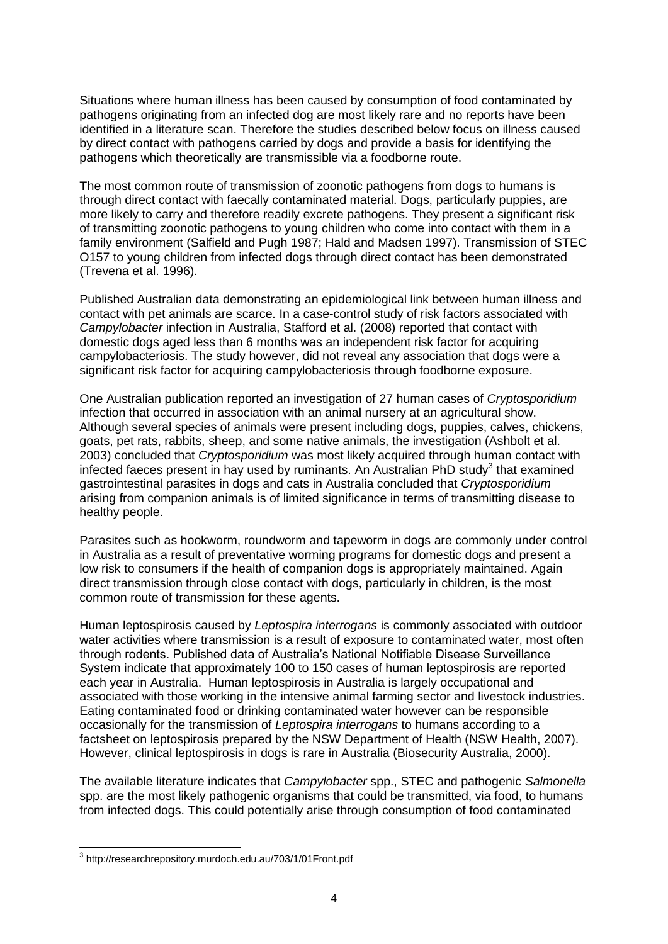Situations where human illness has been caused by consumption of food contaminated by pathogens originating from an infected dog are most likely rare and no reports have been identified in a literature scan. Therefore the studies described below focus on illness caused by direct contact with pathogens carried by dogs and provide a basis for identifying the pathogens which theoretically are transmissible via a foodborne route.

The most common route of transmission of zoonotic pathogens from dogs to humans is through direct contact with faecally contaminated material. Dogs, particularly puppies, are more likely to carry and therefore readily excrete pathogens. They present a significant risk of transmitting zoonotic pathogens to young children who come into contact with them in a family environment (Salfield and Pugh 1987; Hald and Madsen 1997). Transmission of STEC O157 to young children from infected dogs through direct contact has been demonstrated (Trevena et al. 1996).

Published Australian data demonstrating an epidemiological link between human illness and contact with pet animals are scarce. In a case-control study of risk factors associated with *Campylobacter* infection in Australia, Stafford et al. (2008) reported that contact with domestic dogs aged less than 6 months was an independent risk factor for acquiring campylobacteriosis. The study however, did not reveal any association that dogs were a significant risk factor for acquiring campylobacteriosis through foodborne exposure.

One Australian publication reported an investigation of 27 human cases of *Cryptosporidium* infection that occurred in association with an animal nursery at an agricultural show. Although several species of animals were present including dogs, puppies, calves, chickens, goats, pet rats, rabbits, sheep, and some native animals, the investigation (Ashbolt et al. 2003) concluded that *Cryptosporidium* was most likely acquired through human contact with infected faeces present in hay used by ruminants. An Australian PhD study<sup>3</sup> that examined gastrointestinal parasites in dogs and cats in Australia concluded that *Cryptosporidium* arising from companion animals is of limited significance in terms of transmitting disease to healthy people.

Parasites such as hookworm, roundworm and tapeworm in dogs are commonly under control in Australia as a result of preventative worming programs for domestic dogs and present a low risk to consumers if the health of companion dogs is appropriately maintained. Again direct transmission through close contact with dogs, particularly in children, is the most common route of transmission for these agents.

Human leptospirosis caused by *Leptospira interrogans* is commonly associated with outdoor water activities where transmission is a result of exposure to contaminated water, most often through rodents. Published data of Australia's National Notifiable Disease Surveillance System indicate that approximately 100 to 150 cases of human leptospirosis are reported each year in Australia. Human leptospirosis in Australia is largely occupational and associated with those working in the intensive animal farming sector and livestock industries. Eating contaminated food or drinking contaminated water however can be responsible occasionally for the transmission of *Leptospira interrogans* to humans according to a factsheet on leptospirosis prepared by the NSW Department of Health (NSW Health, 2007). However, clinical leptospirosis in dogs is rare in Australia (Biosecurity Australia, 2000).

The available literature indicates that *Campylobacter* spp., STEC and pathogenic *Salmonella* spp. are the most likely pathogenic organisms that could be transmitted, via food, to humans from infected dogs. This could potentially arise through consumption of food contaminated

 3 http://researchrepository.murdoch.edu.au/703/1/01Front.pdf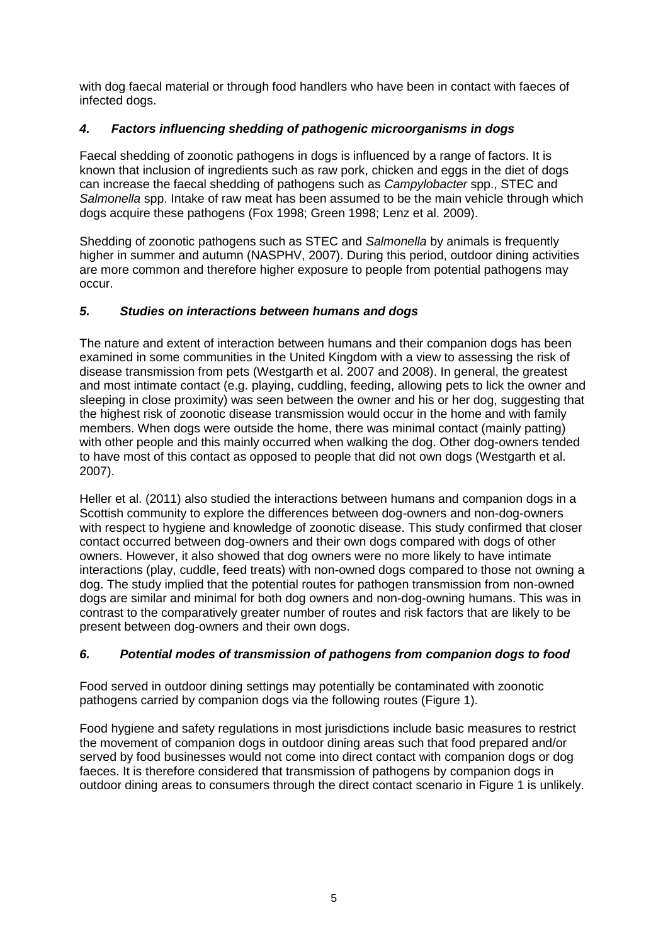with dog faecal material or through food handlers who have been in contact with faeces of infected dogs.

### *4. Factors influencing shedding of pathogenic microorganisms in dogs*

Faecal shedding of zoonotic pathogens in dogs is influenced by a range of factors. It is known that inclusion of ingredients such as raw pork, chicken and eggs in the diet of dogs can increase the faecal shedding of pathogens such as *Campylobacter* spp., STEC and *Salmonella* spp. Intake of raw meat has been assumed to be the main vehicle through which dogs acquire these pathogens (Fox 1998; Green 1998; Lenz et al. 2009).

Shedding of zoonotic pathogens such as STEC and *Salmonella* by animals is frequently higher in summer and autumn (NASPHV, 2007). During this period, outdoor dining activities are more common and therefore higher exposure to people from potential pathogens may occur.

### *5. Studies on interactions between humans and dogs*

The nature and extent of interaction between humans and their companion dogs has been examined in some communities in the United Kingdom with a view to assessing the risk of disease transmission from pets (Westgarth et al. 2007 and 2008). In general, the greatest and most intimate contact (e.g. playing, cuddling, feeding, allowing pets to lick the owner and sleeping in close proximity) was seen between the owner and his or her dog, suggesting that the highest risk of zoonotic disease transmission would occur in the home and with family members. When dogs were outside the home, there was minimal contact (mainly patting) with other people and this mainly occurred when walking the dog. Other dog-owners tended to have most of this contact as opposed to people that did not own dogs (Westgarth et al. 2007).

Heller et al. (2011) also studied the interactions between humans and companion dogs in a Scottish community to explore the differences between dog-owners and non-dog-owners with respect to hygiene and knowledge of zoonotic disease. This study confirmed that closer contact occurred between dog-owners and their own dogs compared with dogs of other owners. However, it also showed that dog owners were no more likely to have intimate interactions (play, cuddle, feed treats) with non-owned dogs compared to those not owning a dog. The study implied that the potential routes for pathogen transmission from non-owned dogs are similar and minimal for both dog owners and non-dog-owning humans. This was in contrast to the comparatively greater number of routes and risk factors that are likely to be present between dog-owners and their own dogs.

### *6. Potential modes of transmission of pathogens from companion dogs to food*

Food served in outdoor dining settings may potentially be contaminated with zoonotic pathogens carried by companion dogs via the following routes (Figure 1).

Food hygiene and safety regulations in most jurisdictions include basic measures to restrict the movement of companion dogs in outdoor dining areas such that food prepared and/or served by food businesses would not come into direct contact with companion dogs or dog faeces. It is therefore considered that transmission of pathogens by companion dogs in outdoor dining areas to consumers through the direct contact scenario in Figure 1 is unlikely.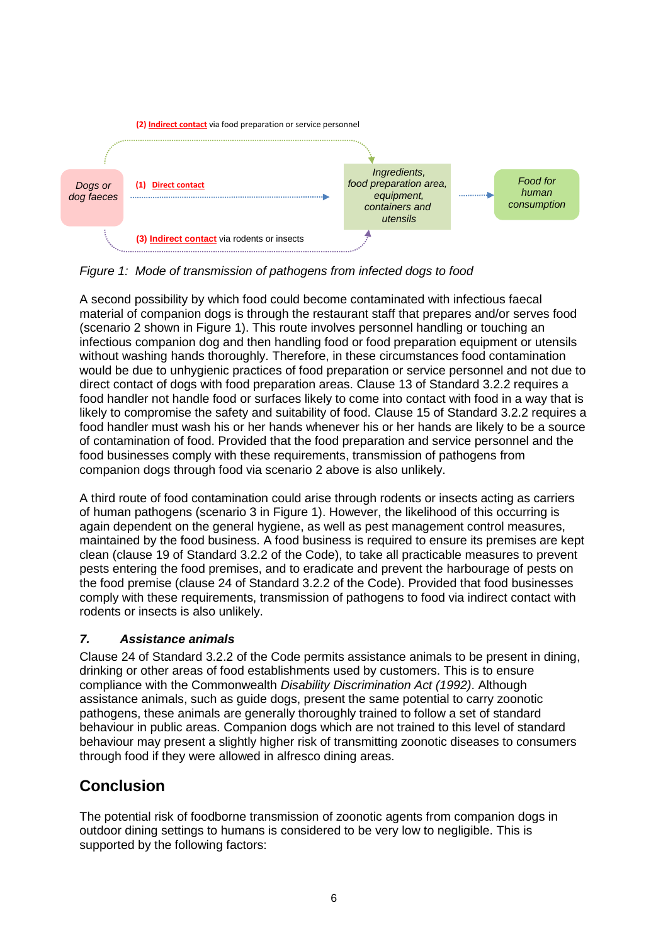

*Figure 1: Mode of transmission of pathogens from infected dogs to food*

A second possibility by which food could become contaminated with infectious faecal material of companion dogs is through the restaurant staff that prepares and/or serves food (scenario 2 shown in Figure 1). This route involves personnel handling or touching an infectious companion dog and then handling food or food preparation equipment or utensils without washing hands thoroughly. Therefore, in these circumstances food contamination would be due to unhygienic practices of food preparation or service personnel and not due to direct contact of dogs with food preparation areas. Clause 13 of Standard 3.2.2 requires a food handler not handle food or surfaces likely to come into contact with food in a way that is likely to compromise the safety and suitability of food. Clause 15 of Standard 3.2.2 requires a food handler must wash his or her hands whenever his or her hands are likely to be a source of contamination of food. Provided that the food preparation and service personnel and the food businesses comply with these requirements, transmission of pathogens from companion dogs through food via scenario 2 above is also unlikely.

A third route of food contamination could arise through rodents or insects acting as carriers of human pathogens (scenario 3 in Figure 1). However, the likelihood of this occurring is again dependent on the general hygiene, as well as pest management control measures, maintained by the food business. A food business is required to ensure its premises are kept clean (clause 19 of Standard 3.2.2 of the Code), to take all practicable measures to prevent pests entering the food premises, and to eradicate and prevent the harbourage of pests on the food premise (clause 24 of Standard 3.2.2 of the Code). Provided that food businesses comply with these requirements, transmission of pathogens to food via indirect contact with rodents or insects is also unlikely.

## *7. Assistance animals*

Clause 24 of Standard 3.2.2 of the Code permits assistance animals to be present in dining, drinking or other areas of food establishments used by customers. This is to ensure compliance with the Commonwealth *Disability Discrimination Act (1992)*. Although assistance animals, such as guide dogs, present the same potential to carry zoonotic pathogens, these animals are generally thoroughly trained to follow a set of standard behaviour in public areas. Companion dogs which are not trained to this level of standard behaviour may present a slightly higher risk of transmitting zoonotic diseases to consumers through food if they were allowed in alfresco dining areas.

# **Conclusion**

The potential risk of foodborne transmission of zoonotic agents from companion dogs in outdoor dining settings to humans is considered to be very low to negligible. This is supported by the following factors: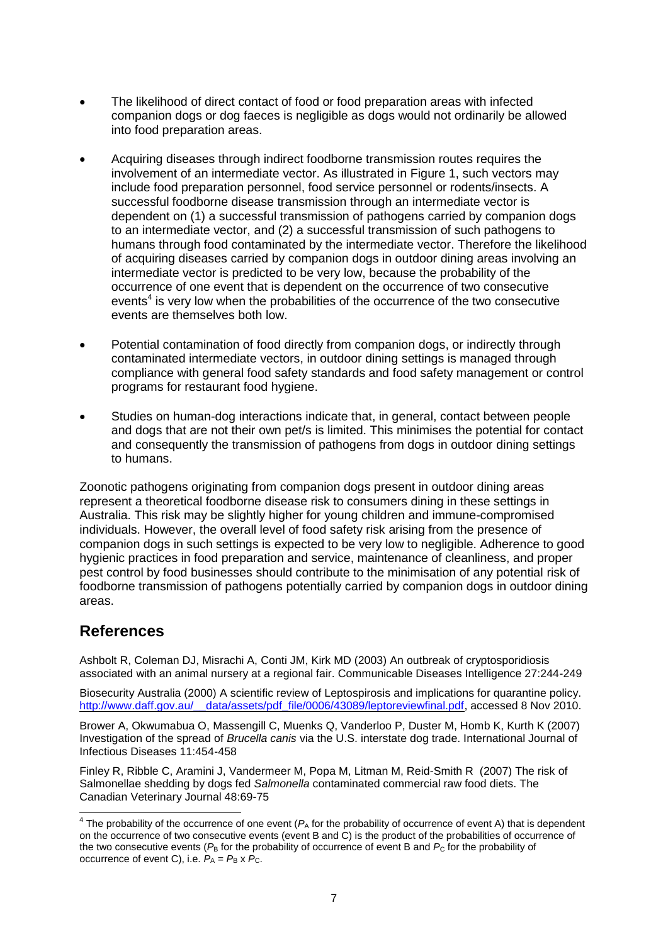- The likelihood of direct contact of food or food preparation areas with infected companion dogs or dog faeces is negligible as dogs would not ordinarily be allowed into food preparation areas.
- Acquiring diseases through indirect foodborne transmission routes requires the involvement of an intermediate vector. As illustrated in Figure 1, such vectors may include food preparation personnel, food service personnel or rodents/insects. A successful foodborne disease transmission through an intermediate vector is dependent on (1) a successful transmission of pathogens carried by companion dogs to an intermediate vector, and (2) a successful transmission of such pathogens to humans through food contaminated by the intermediate vector. Therefore the likelihood of acquiring diseases carried by companion dogs in outdoor dining areas involving an intermediate vector is predicted to be very low, because the probability of the occurrence of one event that is dependent on the occurrence of two consecutive events $4$  is very low when the probabilities of the occurrence of the two consecutive events are themselves both low.
- Potential contamination of food directly from companion dogs, or indirectly through contaminated intermediate vectors, in outdoor dining settings is managed through compliance with general food safety standards and food safety management or control programs for restaurant food hygiene.
- Studies on human-dog interactions indicate that, in general, contact between people and dogs that are not their own pet/s is limited. This minimises the potential for contact and consequently the transmission of pathogens from dogs in outdoor dining settings to humans.

Zoonotic pathogens originating from companion dogs present in outdoor dining areas represent a theoretical foodborne disease risk to consumers dining in these settings in Australia. This risk may be slightly higher for young children and immune-compromised individuals. However, the overall level of food safety risk arising from the presence of companion dogs in such settings is expected to be very low to negligible. Adherence to good hygienic practices in food preparation and service, maintenance of cleanliness, and proper pest control by food businesses should contribute to the minimisation of any potential risk of foodborne transmission of pathogens potentially carried by companion dogs in outdoor dining areas.

## **References**

Ashbolt R, Coleman DJ, Misrachi A, Conti JM, Kirk MD (2003) An outbreak of cryptosporidiosis associated with an animal nursery at a regional fair. Communicable Diseases Intelligence 27:244-249

Biosecurity Australia (2000) A scientific review of Leptospirosis and implications for quarantine policy. [http://www.daff.gov.au/\\_\\_data/assets/pdf\\_file/0006/43089/leptoreviewfinal.pdf,](http://www.daff.gov.au/__data/assets/pdf_file/0006/43089/leptoreviewfinal.pdf) accessed 8 Nov 2010.

Brower A, Okwumabua O, Massengill C, Muenks Q, Vanderloo P, Duster M, Homb K, Kurth K (2007) Investigation of the spread of *Brucella canis* via the U.S. interstate dog trade. International Journal of Infectious Diseases 11:454-458

Finley R, Ribble C, Aramini J, Vandermeer M, Popa M, Litman M, Reid-Smith R (2007) The risk of Salmonellae shedding by dogs fed *Salmonella* contaminated commercial raw food diets. The Canadian Veterinary Journal 48:69-75

The probability of the occurrence of one event ( $P_A$  for the probability of occurrence of event A) that is dependent on the occurrence of two consecutive events (event B and C) is the product of the probabilities of occurrence of the two consecutive events ( $P_B$  for the probability of occurrence of event B and  $P_C$  for the probability of occurrence of event C), i.e.  $P_A = P_B \times P_C$ .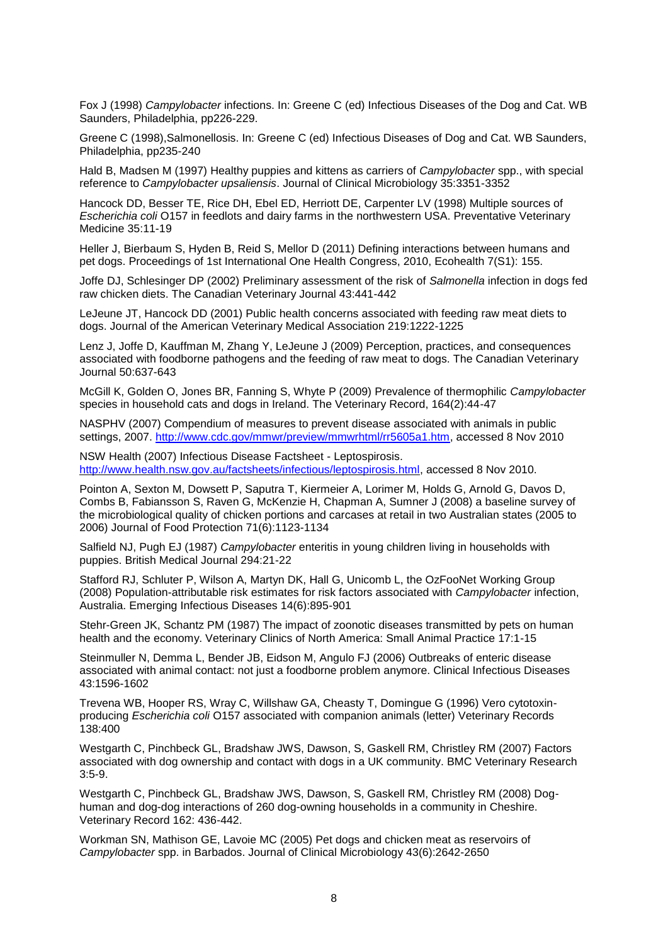Fox J (1998) *Campylobacter* infections. In: Greene C (ed) Infectious Diseases of the Dog and Cat. WB Saunders, Philadelphia, pp226-229.

Greene C (1998),Salmonellosis. In: Greene C (ed) Infectious Diseases of Dog and Cat. WB Saunders, Philadelphia, pp235-240

Hald B, Madsen M (1997) Healthy puppies and kittens as carriers of *Campylobacter* spp., with special reference to *Campylobacter upsaliensis*. Journal of Clinical Microbiology 35:3351-3352

Hancock DD, Besser TE, Rice DH, Ebel ED, Herriott DE, Carpenter LV (1998) Multiple sources of *Escherichia coli* O157 in feedlots and dairy farms in the northwestern USA. Preventative Veterinary Medicine 35:11-19

Heller J, Bierbaum S, Hyden B, Reid S, Mellor D (2011) Defining interactions between humans and pet dogs. Proceedings of 1st International One Health Congress, 2010, Ecohealth 7(S1): 155.

Joffe DJ, Schlesinger DP (2002) Preliminary assessment of the risk of *Salmonella* infection in dogs fed raw chicken diets. The Canadian Veterinary Journal 43:441-442

LeJeune JT, Hancock DD (2001) Public health concerns associated with feeding raw meat diets to dogs. Journal of the American Veterinary Medical Association 219:1222-1225

Lenz J, Joffe D, Kauffman M, Zhang Y, LeJeune J (2009) Perception, practices, and consequences associated with foodborne pathogens and the feeding of raw meat to dogs. The Canadian Veterinary Journal 50:637-643

McGill K, Golden O, Jones BR, Fanning S, Whyte P (2009) Prevalence of thermophilic *Campylobacter* species in household cats and dogs in Ireland. The Veterinary Record, 164(2):44-47

NASPHV (2007) Compendium of measures to prevent disease associated with animals in public settings, 2007. [http://www.cdc.gov/mmwr/preview/mmwrhtml/rr5605a1.htm,](http://www.cdc.gov/mmwr/preview/mmwrhtml/rr5605a1.htm) accessed 8 Nov 2010

NSW Health (2007) Infectious Disease Factsheet - Leptospirosis. [http://www.health.nsw.gov.au/factsheets/infectious/leptospirosis.html,](http://www.health.nsw.gov.au/factsheets/infectious/leptospirosis.html) accessed 8 Nov 2010.

Pointon A, Sexton M, Dowsett P, Saputra T, Kiermeier A, Lorimer M, Holds G, Arnold G, Davos D, Combs B, Fabiansson S, Raven G, McKenzie H, Chapman A, Sumner J (2008) a baseline survey of the microbiological quality of chicken portions and carcases at retail in two Australian states (2005 to 2006) Journal of Food Protection 71(6):1123-1134

Salfield NJ, Pugh EJ (1987) *Campylobacter* enteritis in young children living in households with puppies. British Medical Journal 294:21-22

Stafford RJ, Schluter P, Wilson A, Martyn DK, Hall G, Unicomb L, the OzFooNet Working Group (2008) Population-attributable risk estimates for risk factors associated with *Campylobacter* infection, Australia. Emerging Infectious Diseases 14(6):895-901

Stehr-Green JK, Schantz PM (1987) The impact of zoonotic diseases transmitted by pets on human health and the economy. Veterinary Clinics of North America: Small Animal Practice 17:1-15

Steinmuller N, Demma L, Bender JB, Eidson M, Angulo FJ (2006) Outbreaks of enteric disease associated with animal contact: not just a foodborne problem anymore. Clinical Infectious Diseases 43:1596-1602

Trevena WB, Hooper RS, Wray C, Willshaw GA, Cheasty T, Domingue G (1996) Vero cytotoxinproducing *Escherichia coli* O157 associated with companion animals (letter) Veterinary Records 138:400

Westgarth C, Pinchbeck GL, Bradshaw JWS, Dawson, S, Gaskell RM, Christley RM (2007) Factors associated with dog ownership and contact with dogs in a UK community. BMC Veterinary Research 3:5-9.

Westgarth C, Pinchbeck GL, Bradshaw JWS, Dawson, S, Gaskell RM, Christley RM (2008) Doghuman and dog-dog interactions of 260 dog-owning households in a community in Cheshire. Veterinary Record 162: 436-442.

Workman SN, Mathison GE, Lavoie MC (2005) Pet dogs and chicken meat as reservoirs of *Campylobacter* spp. in Barbados. Journal of Clinical Microbiology 43(6):2642-2650